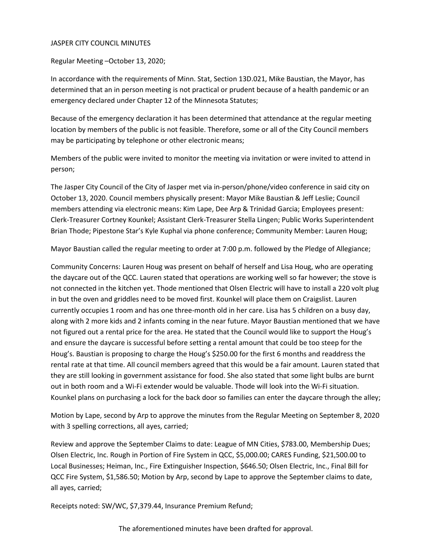#### JASPER CITY COUNCIL MINUTES

Regular Meeting –October 13, 2020;

In accordance with the requirements of Minn. Stat, Section 13D.021, Mike Baustian, the Mayor, has determined that an in person meeting is not practical or prudent because of a health pandemic or an emergency declared under Chapter 12 of the Minnesota Statutes;

Because of the emergency declaration it has been determined that attendance at the regular meeting location by members of the public is not feasible. Therefore, some or all of the City Council members may be participating by telephone or other electronic means;

Members of the public were invited to monitor the meeting via invitation or were invited to attend in person;

The Jasper City Council of the City of Jasper met via in-person/phone/video conference in said city on October 13, 2020. Council members physically present: Mayor Mike Baustian & Jeff Leslie; Council members attending via electronic means: Kim Lape, Dee Arp & Trinidad Garcia; Employees present: Clerk-Treasurer Cortney Kounkel; Assistant Clerk-Treasurer Stella Lingen; Public Works Superintendent Brian Thode; Pipestone Star's Kyle Kuphal via phone conference; Community Member: Lauren Houg;

Mayor Baustian called the regular meeting to order at 7:00 p.m. followed by the Pledge of Allegiance;

Community Concerns: Lauren Houg was present on behalf of herself and Lisa Houg, who are operating the daycare out of the QCC. Lauren stated that operations are working well so far however; the stove is not connected in the kitchen yet. Thode mentioned that Olsen Electric will have to install a 220 volt plug in but the oven and griddles need to be moved first. Kounkel will place them on Craigslist. Lauren currently occupies 1 room and has one three-month old in her care. Lisa has 5 children on a busy day, along with 2 more kids and 2 infants coming in the near future. Mayor Baustian mentioned that we have not figured out a rental price for the area. He stated that the Council would like to support the Houg's and ensure the daycare is successful before setting a rental amount that could be too steep for the Houg's. Baustian is proposing to charge the Houg's \$250.00 for the first 6 months and readdress the rental rate at that time. All council members agreed that this would be a fair amount. Lauren stated that they are still looking in government assistance for food. She also stated that some light bulbs are burnt out in both room and a Wi-Fi extender would be valuable. Thode will look into the Wi-Fi situation. Kounkel plans on purchasing a lock for the back door so families can enter the daycare through the alley;

Motion by Lape, second by Arp to approve the minutes from the Regular Meeting on September 8, 2020 with 3 spelling corrections, all ayes, carried;

Review and approve the September Claims to date: League of MN Cities, \$783.00, Membership Dues; Olsen Electric, Inc. Rough in Portion of Fire System in QCC, \$5,000.00; CARES Funding, \$21,500.00 to Local Businesses; Heiman, Inc., Fire Extinguisher Inspection, \$646.50; Olsen Electric, Inc., Final Bill for QCC Fire System, \$1,586.50; Motion by Arp, second by Lape to approve the September claims to date, all ayes, carried;

Receipts noted: SW/WC, \$7,379.44, Insurance Premium Refund;

The aforementioned minutes have been drafted for approval.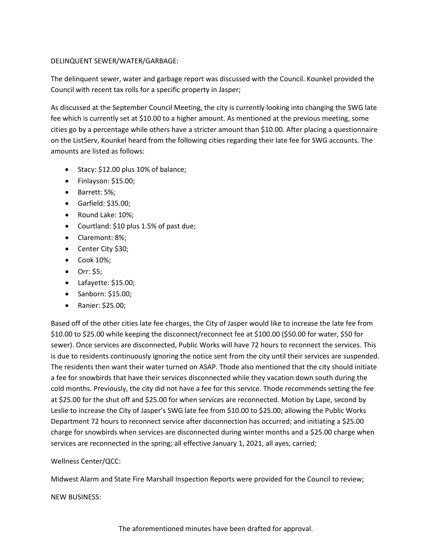## DELINQUENT SEWER/WATER/GARBAGE:

The delinquent sewer, water and garbage report was discussed with the Council. Kounkel provided the Council with recent tax rolls for a specific property in Jasper;

As discussed at the September Council Meeting, the city is currently looking into changing the SWG late fee which is currently set at \$10.00 to a higher amount. As mentioned at the previous meeting, some cities go by a percentage while others have a stricter amount than \$10.00. After placing a questionnaire on the ListServ, Kounkel heard from the following cities regarding their late fee for SWG accounts. The amounts are listed as follows:

- Stacy: \$12.00 plus 10% of balance;
- Finlayson: \$15.00;
- Barrett: 5%;
- Garfield: \$35.00;
- Round Lake: 10%;
- Courtland: \$10 plus 1.5% of past due;
- Claremont: 8%;
- Center City \$30;
- Cook 10%;
- Orr: \$5;
- Lafayette: \$15.00;
- Sanborn: \$15.00;
- Ranier: \$25.00;

Based off of the other cities late fee charges, the City of Jasper would like to increase the late fee from \$10.00 to \$25.00 while keeping the disconnect/reconnect fee at \$100.00 (\$50.00 for water, \$50 for sewer). Once services are disconnected, Public Works will have 72 hours to reconnect the services. This is due to residents continuously ignoring the notice sent from the city until their services are suspended. The residents then want their water turned on ASAP. Thode also mentioned that the city should initiate a fee for snowbirds that have their services disconnected while they vacation down south during the cold months. Previously, the city did not have a fee for this service. Thode recommends setting the fee at \$25.00 for the shut off and \$25.00 for when services are reconnected. Motion by Lape, second by Leslie to increase the City of Jasper's SWG late fee from \$10.00 to \$25.00; allowing the Public Works Department 72 hours to reconnect service after disconnection has occurred; and initiating a \$25.00 charge for snowbirds when services are disconnected during winter months and a \$25.00 charge when services are reconnected in the spring; all effective January 1, 2021, all ayes, carried;

# Wellness Center/QCC:

Midwest Alarm and State Fire Marshall Inspection Reports were provided for the Council to review;

NEW BUSINESS: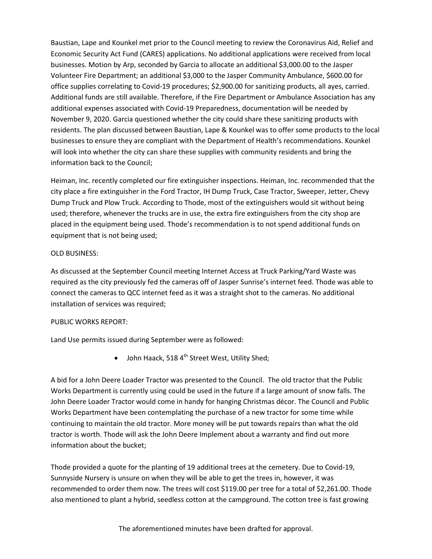Baustian, Lape and Kounkel met prior to the Council meeting to review the Coronavirus Aid, Relief and Economic Security Act Fund (CARES) applications. No additional applications were received from local businesses. Motion by Arp, seconded by Garcia to allocate an additional \$3,000.00 to the Jasper Volunteer Fire Department; an additional \$3,000 to the Jasper Community Ambulance, \$600.00 for office supplies correlating to Covid-19 procedures; \$2,900.00 for sanitizing products, all ayes, carried. Additional funds are still available. Therefore, if the Fire Department or Ambulance Association has any additional expenses associated with Covid-19 Preparedness, documentation will be needed by November 9, 2020. Garcia questioned whether the city could share these sanitizing products with residents. The plan discussed between Baustian, Lape & Kounkel was to offer some products to the local businesses to ensure they are compliant with the Department of Health's recommendations. Kounkel will look into whether the city can share these supplies with community residents and bring the information back to the Council;

Heiman, Inc. recently completed our fire extinguisher inspections. Heiman, Inc. recommended that the city place a fire extinguisher in the Ford Tractor, IH Dump Truck, Case Tractor, Sweeper, Jetter, Chevy Dump Truck and Plow Truck. According to Thode, most of the extinguishers would sit without being used; therefore, whenever the trucks are in use, the extra fire extinguishers from the city shop are placed in the equipment being used. Thode's recommendation is to not spend additional funds on equipment that is not being used;

### OLD BUSINESS:

As discussed at the September Council meeting Internet Access at Truck Parking/Yard Waste was required as the city previously fed the cameras off of Jasper Sunrise's internet feed. Thode was able to connect the cameras to QCC internet feed as it was a straight shot to the cameras. No additional installation of services was required;

## PUBLIC WORKS REPORT:

Land Use permits issued during September were as followed:

• John Haack, 518  $4<sup>th</sup>$  Street West, Utility Shed;

A bid for a John Deere Loader Tractor was presented to the Council. The old tractor that the Public Works Department is currently using could be used in the future if a large amount of snow falls. The John Deere Loader Tractor would come in handy for hanging Christmas décor. The Council and Public Works Department have been contemplating the purchase of a new tractor for some time while continuing to maintain the old tractor. More money will be put towards repairs than what the old tractor is worth. Thode will ask the John Deere Implement about a warranty and find out more information about the bucket;

Thode provided a quote for the planting of 19 additional trees at the cemetery. Due to Covid-19, Sunnyside Nursery is unsure on when they will be able to get the trees in, however, it was recommended to order them now. The trees will cost \$119.00 per tree for a total of \$2,261.00. Thode also mentioned to plant a hybrid, seedless cotton at the campground. The cotton tree is fast growing